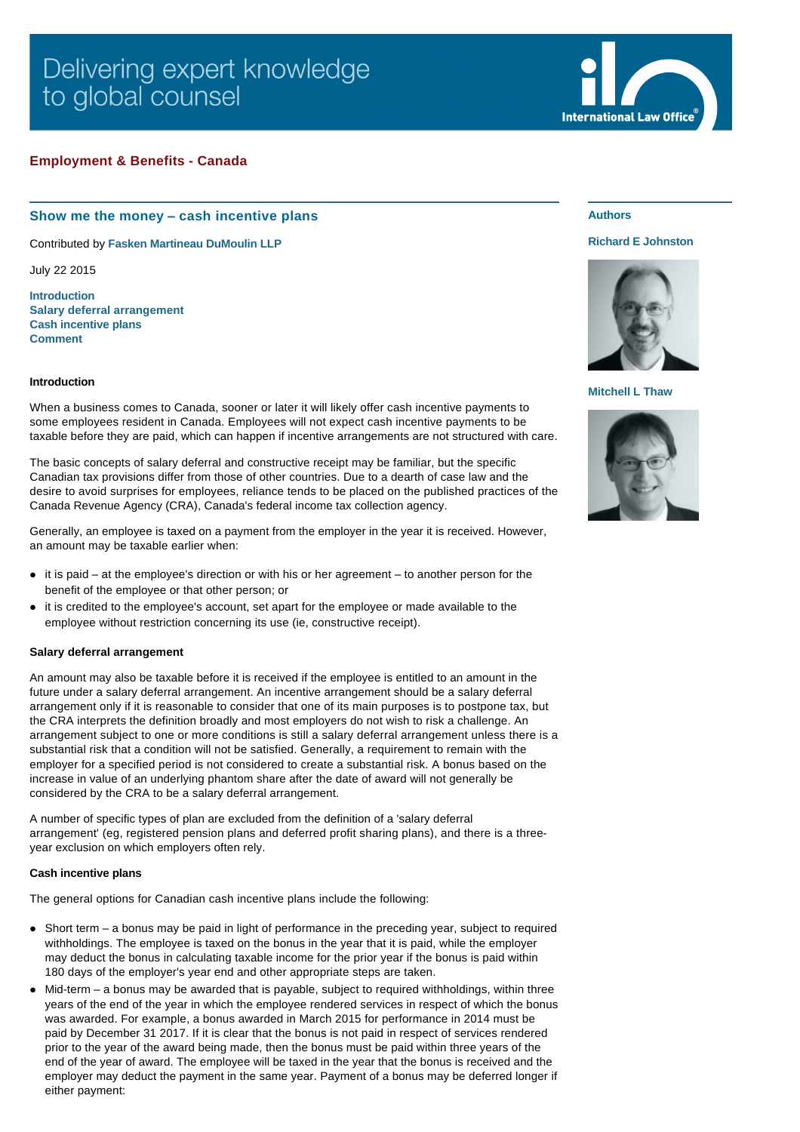# Delivering expert knowledge to global counsel

# **Employment & Benefits - Canada**

# **Show me the money – cash incentive plans**

Contributed by **[Fasken Martineau DuMoulin LLP](http://www.internationallawoffice.com/gesr.ashx?l=7P2VUPL)**

July 22 2015

**[Introduction](#page-0-0) [Salary deferral arrangement](#page-0-1) [Cash incentive plans](#page-0-2) [Comment](#page-1-0)**

### <span id="page-0-0"></span>**Introduction**

When a business comes to Canada, sooner or later it will likely offer cash incentive payments to some employees resident in Canada. Employees will not expect cash incentive payments to be taxable before they are paid, which can happen if incentive arrangements are not structured with care.

The basic concepts of salary deferral and constructive receipt may be familiar, but the specific Canadian tax provisions differ from those of other countries. Due to a dearth of case law and the desire to avoid surprises for employees, reliance tends to be placed on the published practices of the Canada Revenue Agency (CRA), Canada's federal income tax collection agency.

Generally, an employee is taxed on a payment from the employer in the year it is received. However, an amount may be taxable earlier when:

- it is paid at the employee's direction or with his or her agreement to another person for the benefit of the employee or that other person; or
- it is credited to the employee's account, set apart for the employee or made available to the employee without restriction concerning its use (ie, constructive receipt).

#### <span id="page-0-1"></span>**Salary deferral arrangement**

An amount may also be taxable before it is received if the employee is entitled to an amount in the future under a salary deferral arrangement. An incentive arrangement should be a salary deferral arrangement only if it is reasonable to consider that one of its main purposes is to postpone tax, but the CRA interprets the definition broadly and most employers do not wish to risk a challenge. An arrangement subject to one or more conditions is still a salary deferral arrangement unless there is a substantial risk that a condition will not be satisfied. Generally, a requirement to remain with the employer for a specified period is not considered to create a substantial risk. A bonus based on the increase in value of an underlying phantom share after the date of award will not generally be considered by the CRA to be a salary deferral arrangement.

A number of specific types of plan are excluded from the definition of a 'salary deferral arrangement' (eg, registered pension plans and deferred profit sharing plans), and there is a threeyear exclusion on which employers often rely.

#### <span id="page-0-2"></span>**Cash incentive plans**

The general options for Canadian cash incentive plans include the following:

- $\bullet$  Short term a bonus may be paid in light of performance in the preceding year, subject to required withholdings. The employee is taxed on the bonus in the year that it is paid, while the employer may deduct the bonus in calculating taxable income for the prior year if the bonus is paid within 180 days of the employer's year end and other appropriate steps are taken.
- $\bullet$  Mid-term a bonus may be awarded that is payable, subject to required withholdings, within three years of the end of the year in which the employee rendered services in respect of which the bonus was awarded. For example, a bonus awarded in March 2015 for performance in 2014 must be paid by December 31 2017. If it is clear that the bonus is not paid in respect of services rendered prior to the year of the award being made, then the bonus must be paid within three years of the end of the year of award. The employee will be taxed in the year that the bonus is received and the employer may deduct the payment in the same year. Payment of a bonus may be deferred longer if either payment:



# **Authors**

#### **[Richard E Johnston](http://www.internationallawoffice.com/gesr.ashx?l=7P2VUQN)**



**[Mitchell L Thaw](http://www.internationallawoffice.com/gesr.ashx?l=7P2VUQR)**